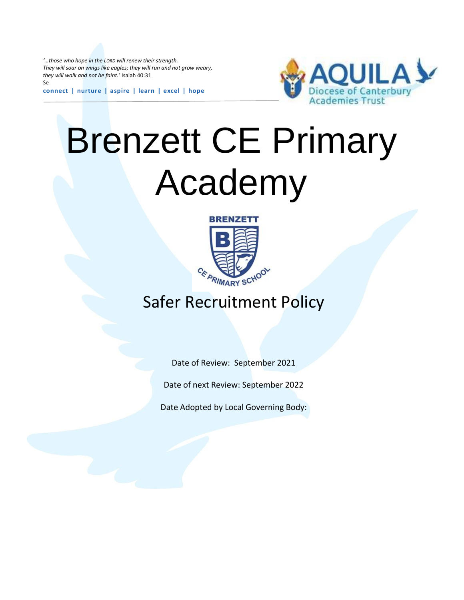*'…those who hope in the LORD will renew their strength. They will soar on wings like eagles; they will run and not grow weary, they will walk and not be faint.'* Isaiah 40:31 Se

**connect | nurture | aspire | learn | excel | hope**



# Brenzett CE Primary Academy



# Safer Recruitment Policy

Date of Review: September 2021

Date of next Review: September 2022

Date Adopted by Local Governing Body: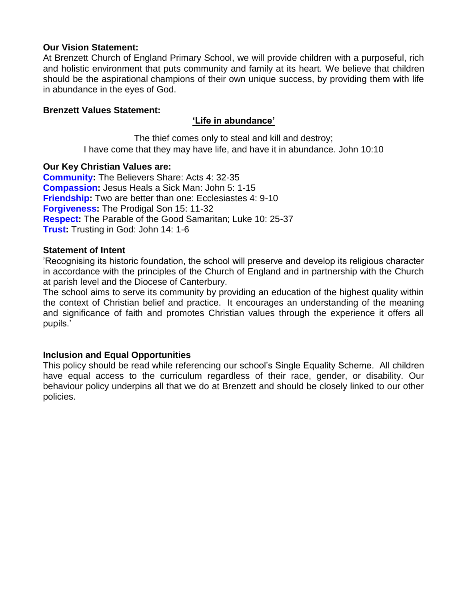# **Our Vision Statement:**

At Brenzett Church of England Primary School, we will provide children with a purposeful, rich and holistic environment that puts community and family at its heart. We believe that children should be the aspirational champions of their own unique success, by providing them with life in abundance in the eyes of God.

# **Brenzett Values Statement:**

# **'Life in abundance'**

The thief comes only to steal and kill and destroy; I have come that they may have life, and have it in abundance. John 10:10

# **Our Key Christian Values are:**

**Community:** The Believers Share: Acts 4: 32-35 **Compassion:** Jesus Heals a Sick Man: John 5: 1-15 **Friendship:** Two are better than one: Ecclesiastes 4: 9-10 **Forgiveness:** The Prodigal Son 15: 11-32 **Respect:** The Parable of the Good Samaritan; Luke 10: 25-37 **Trust:** Trusting in God: John 14: 1-6

# **Statement of Intent**

'Recognising its historic foundation, the school will preserve and develop its religious character in accordance with the principles of the Church of England and in partnership with the Church at parish level and the Diocese of Canterbury.

The school aims to serve its community by providing an education of the highest quality within the context of Christian belief and practice. It encourages an understanding of the meaning and significance of faith and promotes Christian values through the experience it offers all pupils.'

# **Inclusion and Equal Opportunities**

This policy should be read while referencing our school's Single Equality Scheme. All children have equal access to the curriculum regardless of their race, gender, or disability. Our behaviour policy underpins all that we do at Brenzett and should be closely linked to our other policies.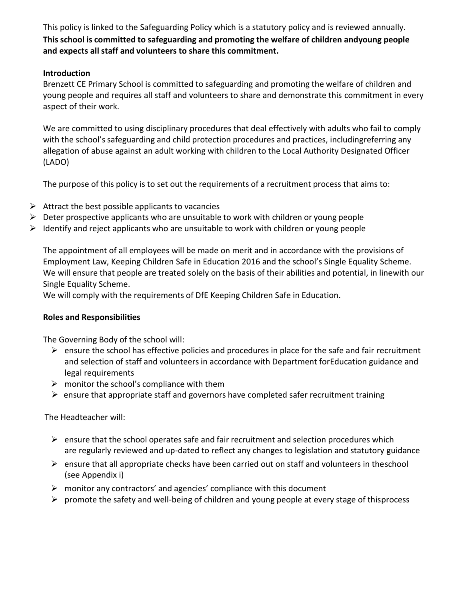This policy is linked to the Safeguarding Policy which is a statutory policy and is reviewed annually. **This school is committed to safeguarding and promoting the welfare of children andyoung people and expects all staff and volunteers to share this commitment.**

# **Introduction**

Brenzett CE Primary School is committed to safeguarding and promoting the welfare of children and young people and requires all staff and volunteers to share and demonstrate this commitment in every aspect of their work.

We are committed to using disciplinary procedures that deal effectively with adults who fail to comply with the school's safeguarding and child protection procedures and practices, includingreferring any allegation of abuse against an adult working with children to the Local Authority Designated Officer (LADO)

The purpose of this policy is to set out the requirements of a recruitment process that aims to:

- $\triangleright$  Attract the best possible applicants to vacancies
- $\triangleright$  Deter prospective applicants who are unsuitable to work with children or young people
- $\triangleright$  Identify and reject applicants who are unsuitable to work with children or young people

The appointment of all employees will be made on merit and in accordance with the provisions of Employment Law, Keeping Children Safe in Education 2016 and the school's Single Equality Scheme. We will ensure that people are treated solely on the basis of their abilities and potential, in linewith our Single Equality Scheme.

We will comply with the requirements of DfE Keeping Children Safe in Education.

# **Roles and Responsibilities**

The Governing Body of the school will:

- $\triangleright$  ensure the school has effective policies and procedures in place for the safe and fair recruitment and selection of staff and volunteers in accordance with Department forEducation guidance and legal requirements
- $\triangleright$  monitor the school's compliance with them
- $\triangleright$  ensure that appropriate staff and governors have completed safer recruitment training

The Headteacher will:

- $\triangleright$  ensure that the school operates safe and fair recruitment and selection procedures which are regularly reviewed and up-dated to reflect any changes to legislation and statutory guidance
- $\triangleright$  ensure that all appropriate checks have been carried out on staff and volunteers in theschool (see Appendix i)
- $\triangleright$  monitor any contractors' and agencies' compliance with this document
- $\triangleright$  promote the safety and well-being of children and young people at every stage of thisprocess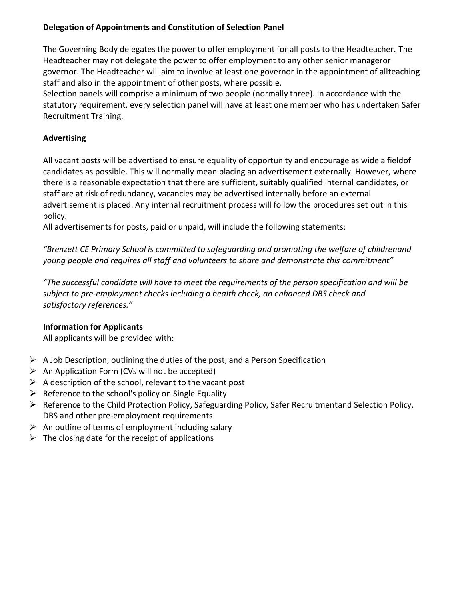# **Delegation of Appointments and Constitution of Selection Panel**

The Governing Body delegates the power to offer employment for all posts to the Headteacher. The Headteacher may not delegate the power to offer employment to any other senior manageror governor. The Headteacher will aim to involve at least one governor in the appointment of allteaching staff and also in the appointment of other posts, where possible.

Selection panels will comprise a minimum of two people (normally three). In accordance with the statutory requirement, every selection panel will have at least one member who has undertaken Safer Recruitment Training.

# **Advertising**

All vacant posts will be advertised to ensure equality of opportunity and encourage as wide a fieldof candidates as possible. This will normally mean placing an advertisement externally. However, where there is a reasonable expectation that there are sufficient, suitably qualified internal candidates, or staff are at risk of redundancy, vacancies may be advertised internally before an external advertisement is placed. Any internal recruitment process will follow the procedures set out in this policy.

All advertisements for posts, paid or unpaid, will include the following statements:

*"Brenzett CE Primary School is committed to safeguarding and promoting the welfare of childrenand young people and requires all staff and volunteers to share and demonstrate this commitment"*

*"The successful candidate will have to meet the requirements of the person specification and will be subject to pre-employment checks including a health check, an enhanced DBS check and satisfactory references."*

# **Information for Applicants**

All applicants will be provided with:

- $\triangleright$  A Job Description, outlining the duties of the post, and a Person Specification
- $\triangleright$  An Application Form (CVs will not be accepted)
- $\triangleright$  A description of the school, relevant to the vacant post
- $\triangleright$  Reference to the school's policy on Single Equality
- Reference to the Child Protection Policy, Safeguarding Policy, Safer Recruitmentand Selection Policy, DBS and other pre-employment requirements
- $\triangleright$  An outline of terms of employment including salary
- $\triangleright$  The closing date for the receipt of applications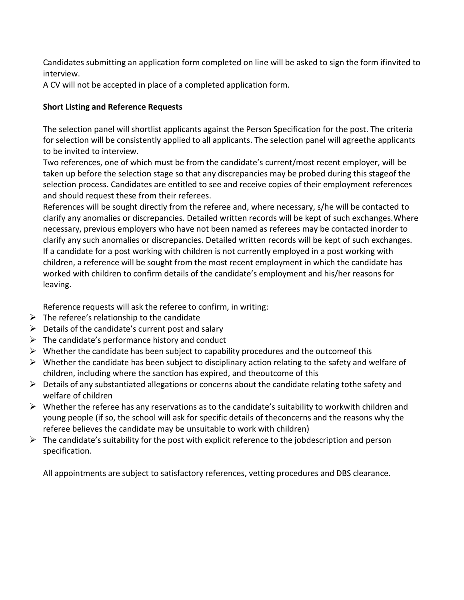Candidates submitting an application form completed on line will be asked to sign the form ifinvited to interview.

A CV will not be accepted in place of a completed application form.

# **Short Listing and Reference Requests**

The selection panel will shortlist applicants against the Person Specification for the post. The criteria for selection will be consistently applied to all applicants. The selection panel will agreethe applicants to be invited to interview.

Two references, one of which must be from the candidate's current/most recent employer, will be taken up before the selection stage so that any discrepancies may be probed during this stageof the selection process. Candidates are entitled to see and receive copies of their employment references and should request these from their referees.

References will be sought directly from the referee and, where necessary, s/he will be contacted to clarify any anomalies or discrepancies. Detailed written records will be kept of such exchanges.Where necessary, previous employers who have not been named as referees may be contacted inorder to clarify any such anomalies or discrepancies. Detailed written records will be kept of such exchanges. If a candidate for a post working with children is not currently employed in a post working with children, a reference will be sought from the most recent employment in which the candidate has worked with children to confirm details of the candidate's employment and his/her reasons for leaving.

Reference requests will ask the referee to confirm, in writing:

- $\triangleright$  The referee's relationship to the candidate
- $\triangleright$  Details of the candidate's current post and salary
- $\triangleright$  The candidate's performance history and conduct
- $\triangleright$  Whether the candidate has been subject to capability procedures and the outcomeof this
- $\triangleright$  Whether the candidate has been subject to disciplinary action relating to the safety and welfare of children, including where the sanction has expired, and theoutcome of this
- $\triangleright$  Details of any substantiated allegations or concerns about the candidate relating tothe safety and welfare of children
- $\triangleright$  Whether the referee has any reservations as to the candidate's suitability to workwith children and young people (if so, the school will ask for specific details of theconcerns and the reasons why the referee believes the candidate may be unsuitable to work with children)
- $\triangleright$  The candidate's suitability for the post with explicit reference to the jobdescription and person specification.

All appointments are subject to satisfactory references, vetting procedures and DBS clearance.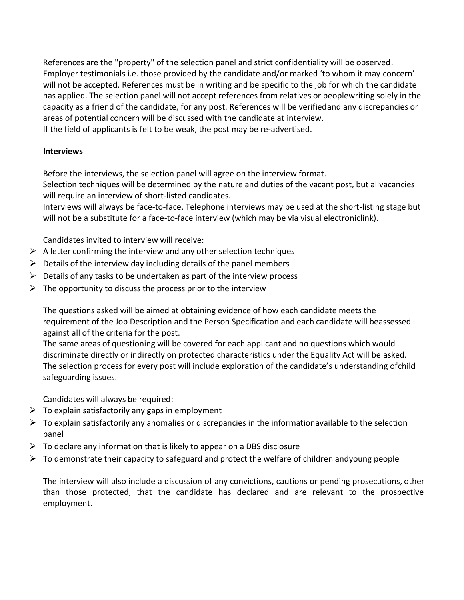References are the "property" of the selection panel and strict confidentiality will be observed. Employer testimonials i.e. those provided by the candidate and/or marked 'to whom it may concern' will not be accepted. References must be in writing and be specific to the job for which the candidate has applied. The selection panel will not accept references from relatives or peoplewriting solely in the capacity as a friend of the candidate, for any post. References will be verifiedand any discrepancies or areas of potential concern will be discussed with the candidate at interview. If the field of applicants is felt to be weak, the post may be re-advertised.

# **Interviews**

Before the interviews, the selection panel will agree on the interview format. Selection techniques will be determined by the nature and duties of the vacant post, but allvacancies will require an interview of short-listed candidates.

Interviews will always be face-to-face. Telephone interviews may be used at the short-listing stage but will not be a substitute for a face-to-face interview (which may be via visual electroniclink).

Candidates invited to interview will receive:

- $\triangleright$  A letter confirming the interview and any other selection techniques
- $\triangleright$  Details of the interview day including details of the panel members
- $\triangleright$  Details of any tasks to be undertaken as part of the interview process
- $\triangleright$  The opportunity to discuss the process prior to the interview

The questions asked will be aimed at obtaining evidence of how each candidate meets the requirement of the Job Description and the Person Specification and each candidate will beassessed against all of the criteria for the post.

The same areas of questioning will be covered for each applicant and no questions which would discriminate directly or indirectly on protected characteristics under the Equality Act will be asked. The selection process for every post will include exploration of the candidate's understanding ofchild safeguarding issues.

Candidates will always be required:

- $\triangleright$  To explain satisfactorily any gaps in employment
- $\triangleright$  To explain satisfactorily any anomalies or discrepancies in the informationavailable to the selection panel
- $\triangleright$  To declare any information that is likely to appear on a DBS disclosure
- $\triangleright$  To demonstrate their capacity to safeguard and protect the welfare of children andyoung people

The interview will also include a discussion of any convictions, cautions or pending prosecutions, other than those protected, that the candidate has declared and are relevant to the prospective employment.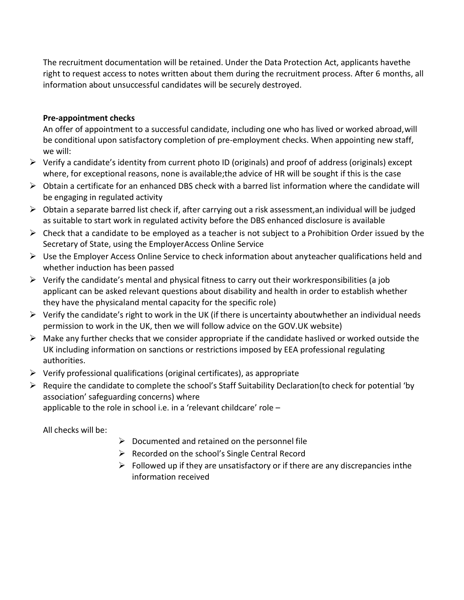The recruitment documentation will be retained. Under the Data Protection Act, applicants havethe right to request access to notes written about them during the recruitment process. After 6 months, all information about unsuccessful candidates will be securely destroyed.

# **Pre-appointment checks**

An offer of appointment to a successful candidate, including one who has lived or worked abroad,will be conditional upon satisfactory completion of pre-employment checks. When appointing new staff, we will:

- $\triangleright$  Verify a candidate's identity from current photo ID (originals) and proof of address (originals) except where, for exceptional reasons, none is available;the advice of HR will be sought if this is the case
- $\triangleright$  Obtain a certificate for an enhanced DBS check with a barred list information where the candidate will be engaging in regulated activity
- $\triangleright$  Obtain a separate barred list check if, after carrying out a risk assessment, an individual will be judged as suitable to start work in regulated activity before the DBS enhanced disclosure is available
- $\triangleright$  Check that a candidate to be employed as a teacher is not subject to a Prohibition Order issued by the Secretary of State, using the EmployerAccess Online Service
- $\triangleright$  Use the Employer Access Online Service to check information about anyteacher qualifications held and whether induction has been passed
- $\triangleright$  Verify the candidate's mental and physical fitness to carry out their workresponsibilities (a job applicant can be asked relevant questions about disability and health in order to establish whether they have the physicaland mental capacity for the specific role)
- $\triangleright$  Verify the candidate's right to work in the UK (if there is uncertainty aboutwhether an individual needs permission to work in the UK, then we will follow advice on the GOV.UK website)
- $\triangleright$  Make any further checks that we consider appropriate if the candidate haslived or worked outside the UK including information on sanctions or restrictions imposed by EEA professional regulating authorities.
- $\triangleright$  Verify professional qualifications (original certificates), as appropriate
- Require the candidate to complete the school's Staff Suitability Declaration(to check for potential 'by association' safeguarding concerns) where applicable to the role in school i.e. in a 'relevant childcare' role –

All checks will be:

- $\triangleright$  Documented and retained on the personnel file
- $\triangleright$  Recorded on the school's Single Central Record
- $\triangleright$  Followed up if they are unsatisfactory or if there are any discrepancies inthe information received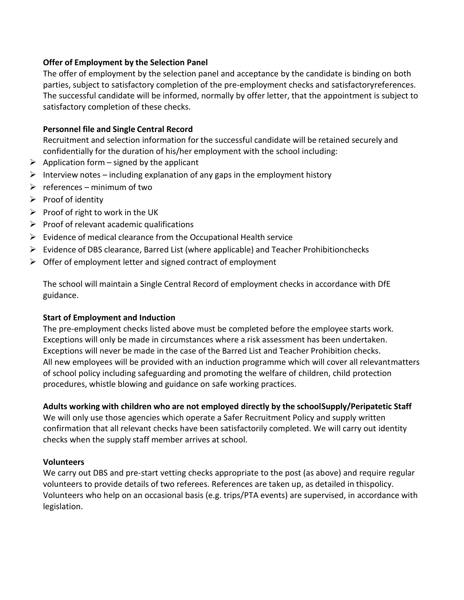# **Offer of Employment by the Selection Panel**

The offer of employment by the selection panel and acceptance by the candidate is binding on both parties, subject to satisfactory completion of the pre-employment checks and satisfactoryreferences. The successful candidate will be informed, normally by offer letter, that the appointment is subject to satisfactory completion of these checks.

# **Personnel file and Single Central Record**

Recruitment and selection information for the successful candidate will be retained securely and confidentially for the duration of his/her employment with the school including:

- $\triangleright$  Application form signed by the applicant
- $\triangleright$  Interview notes including explanation of any gaps in the employment history
- $\triangleright$  references minimum of two
- $\triangleright$  Proof of identity
- $\triangleright$  Proof of right to work in the UK
- $\triangleright$  Proof of relevant academic qualifications
- $\triangleright$  Evidence of medical clearance from the Occupational Health service
- $\triangleright$  Evidence of DBS clearance, Barred List (where applicable) and Teacher Prohibitionchecks
- $\triangleright$  Offer of employment letter and signed contract of employment

The school will maintain a Single Central Record of employment checks in accordance with DfE guidance.

# **Start of Employment and Induction**

The pre-employment checks listed above must be completed before the employee starts work. Exceptions will only be made in circumstances where a risk assessment has been undertaken. Exceptions will never be made in the case of the Barred List and Teacher Prohibition checks. All new employees will be provided with an induction programme which will cover all relevantmatters of school policy including safeguarding and promoting the welfare of children, child protection procedures, whistle blowing and guidance on safe working practices.

# **Adults working with children who are not employed directly by the schoolSupply/Peripatetic Staff**

We will only use those agencies which operate a Safer Recruitment Policy and supply written confirmation that all relevant checks have been satisfactorily completed. We will carry out identity checks when the supply staff member arrives at school.

# **Volunteers**

We carry out DBS and pre-start vetting checks appropriate to the post (as above) and require regular volunteers to provide details of two referees. References are taken up, as detailed in thispolicy. Volunteers who help on an occasional basis (e.g. trips/PTA events) are supervised, in accordance with legislation.